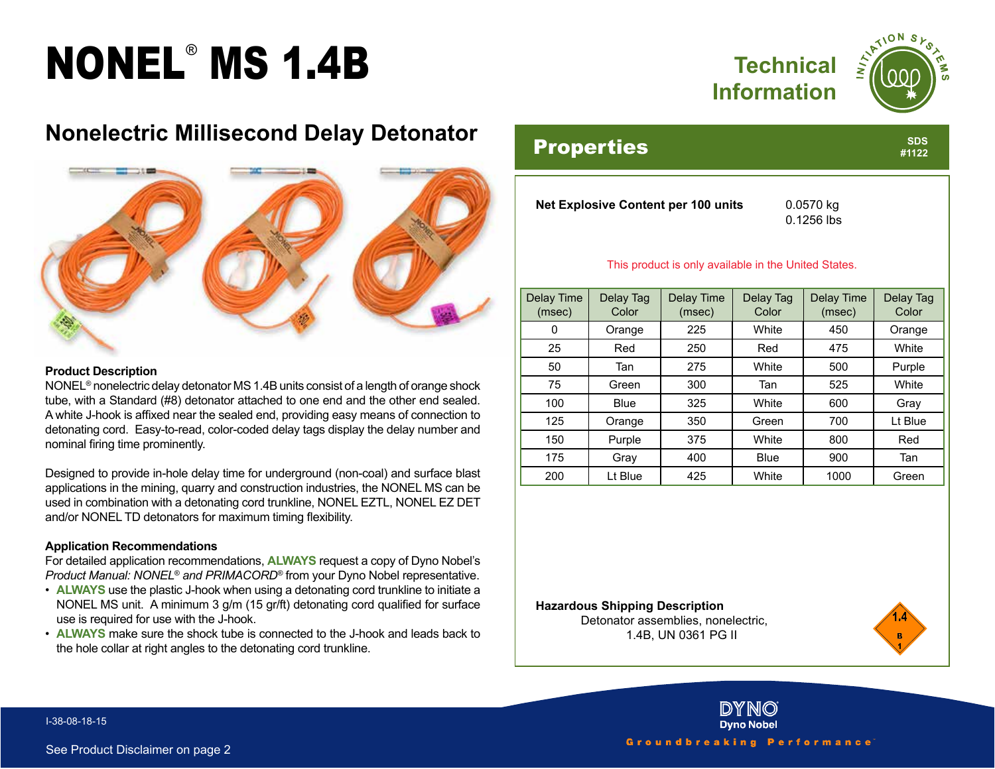# NONEL® MS 1.4B



**SDS #1122**

### **Nonelectric Millisecond Delay Detonator**



#### **Product Description**

NONEL® nonelectric delay detonator MS 1.4B units consist of a length of orange shock tube, with a Standard (#8) detonator attached to one end and the other end sealed. A white J-hook is affixed near the sealed end, providing easy means of connection to detonating cord. Easy-to-read, color-coded delay tags display the delay number and nominal firing time prominently.

Designed to provide in-hole delay time for underground (non-coal) and surface blast applications in the mining, quarry and construction industries, the NONEL MS can be used in combination with a detonating cord trunkline, NONEL EZTL, NONEL EZ DET and/or NONEL TD detonators for maximum timing flexibility.

#### **Application Recommendations**

For detailed application recommendations, **ALWAYS** request a copy of Dyno Nobel's *Product Manual: NONEL® and PRIMACORD®* from your Dyno Nobel representative.

- **ALWAYS** use the plastic J-hook when using a detonating cord trunkline to initiate a NONEL MS unit. A minimum 3 g/m (15 gr/ft) detonating cord qualified for surface use is required for use with the J-hook.
- **ALWAYS** make sure the shock tube is connected to the J-hook and leads back to the hole collar at right angles to the detonating cord trunkline.

### **Properties**

**Net Explosive Content per 100 units** 0.0570 kg

0.1256 lbs

#### This product is only available in the United States.

| Delay Time<br>(msec) | Delay Tag<br>Color | Delay Time<br>(msec) | Delay Tag<br>Color | Delay Time<br>(msec) | Delay Tag<br>Color |
|----------------------|--------------------|----------------------|--------------------|----------------------|--------------------|
| 0                    | Orange             | 225                  | White              | 450                  | Orange             |
| 25                   | Red                | 250                  | Red                | 475                  | White              |
| 50                   | Tan                | 275                  | White              | 500                  | Purple             |
| 75                   | Green              | 300                  | Tan                | 525                  | White              |
| 100                  | <b>Blue</b>        | 325                  | White              | 600                  | Gray               |
| 125                  | Orange             | 350                  | Green              | 700                  | Lt Blue            |
| 150                  | Purple             | 375                  | White              | 800                  | Red                |
| 175                  | Gray               | 400                  | <b>Blue</b>        | 900                  | Tan                |
| 200                  | Lt Blue            | 425                  | White              | 1000                 | Green              |

#### **Hazardous Shipping Description**

Detonator assemblies, nonelectric, 1.4B, UN 0361 PG II





I-38-08-18-15

Groundbreaking Performance